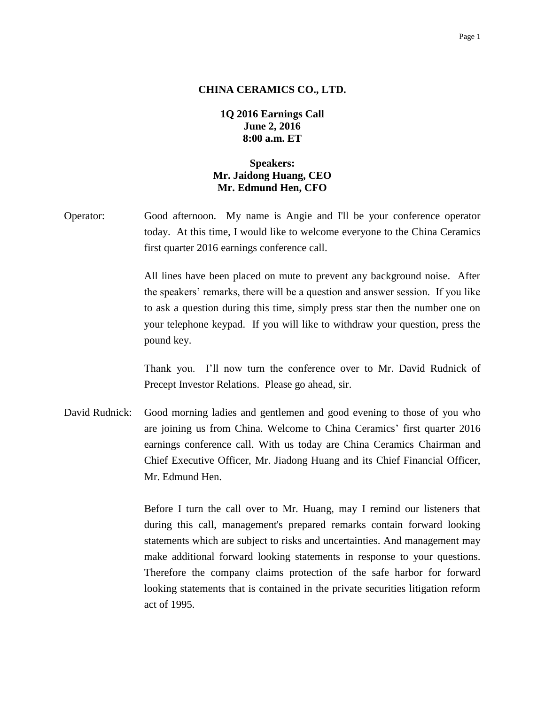## Page 1

## **CHINA CERAMICS CO., LTD.**

**1Q 2016 Earnings Call June 2, 2016 8:00 a.m. ET**

## **Speakers: Mr. Jaidong Huang, CEO Mr. Edmund Hen, CFO**

Operator: Good afternoon. My name is Angie and I'll be your conference operator today. At this time, I would like to welcome everyone to the China Ceramics first quarter 2016 earnings conference call.

> All lines have been placed on mute to prevent any background noise. After the speakers' remarks, there will be a question and answer session. If you like to ask a question during this time, simply press star then the number one on your telephone keypad. If you will like to withdraw your question, press the pound key.

> Thank you. I'll now turn the conference over to Mr. David Rudnick of Precept Investor Relations. Please go ahead, sir.

David Rudnick: Good morning ladies and gentlemen and good evening to those of you who are joining us from China. Welcome to China Ceramics' first quarter 2016 earnings conference call. With us today are China Ceramics Chairman and Chief Executive Officer, Mr. Jiadong Huang and its Chief Financial Officer, Mr. Edmund Hen.

> Before I turn the call over to Mr. Huang, may I remind our listeners that during this call, management's prepared remarks contain forward looking statements which are subject to risks and uncertainties. And management may make additional forward looking statements in response to your questions. Therefore the company claims protection of the safe harbor for forward looking statements that is contained in the private securities litigation reform act of 1995.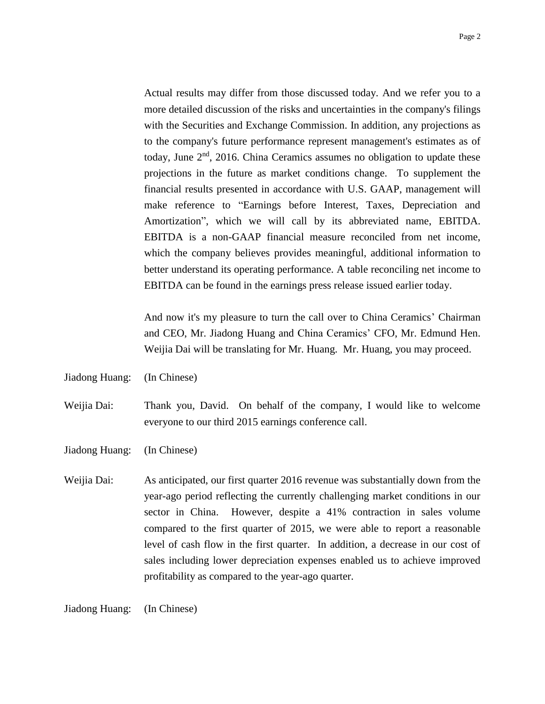Actual results may differ from those discussed today. And we refer you to a more detailed discussion of the risks and uncertainties in the company's filings with the Securities and Exchange Commission. In addition, any projections as to the company's future performance represent management's estimates as of today, June  $2<sup>nd</sup>$ , 2016. China Ceramics assumes no obligation to update these projections in the future as market conditions change. To supplement the financial results presented in accordance with U.S. GAAP, management will make reference to "Earnings before Interest, Taxes, Depreciation and Amortization", which we will call by its abbreviated name, EBITDA. EBITDA is a non-GAAP financial measure reconciled from net income, which the company believes provides meaningful, additional information to better understand its operating performance. A table reconciling net income to EBITDA can be found in the earnings press release issued earlier today.

And now it's my pleasure to turn the call over to China Ceramics' Chairman and CEO, Mr. Jiadong Huang and China Ceramics' CFO, Mr. Edmund Hen. Weijia Dai will be translating for Mr. Huang. Mr. Huang, you may proceed.

Jiadong Huang: (In Chinese)

Weijia Dai: Thank you, David. On behalf of the company, I would like to welcome everyone to our third 2015 earnings conference call.

- Jiadong Huang: (In Chinese)
- Weijia Dai: As anticipated, our first quarter 2016 revenue was substantially down from the year-ago period reflecting the currently challenging market conditions in our sector in China. However, despite a 41% contraction in sales volume compared to the first quarter of 2015, we were able to report a reasonable level of cash flow in the first quarter. In addition, a decrease in our cost of sales including lower depreciation expenses enabled us to achieve improved profitability as compared to the year-ago quarter.

Jiadong Huang: (In Chinese)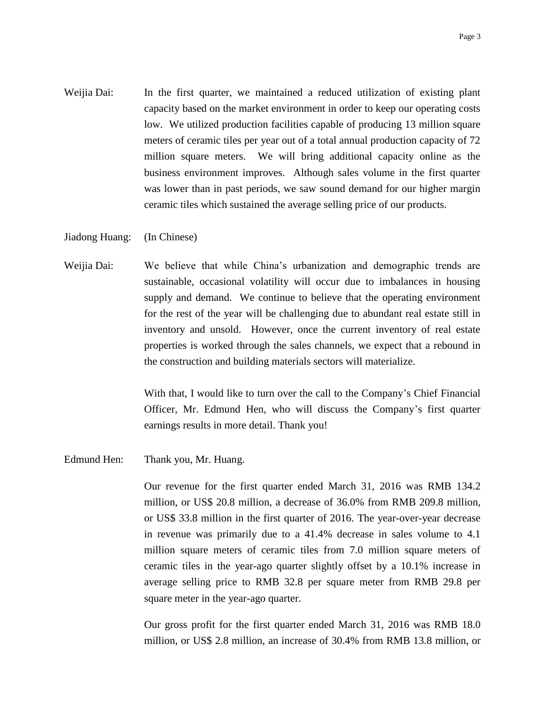- Weijia Dai: In the first quarter, we maintained a reduced utilization of existing plant capacity based on the market environment in order to keep our operating costs low. We utilized production facilities capable of producing 13 million square meters of ceramic tiles per year out of a total annual production capacity of 72 million square meters. We will bring additional capacity online as the business environment improves. Although sales volume in the first quarter was lower than in past periods, we saw sound demand for our higher margin ceramic tiles which sustained the average selling price of our products.
- Jiadong Huang: (In Chinese)
- Weijia Dai: We believe that while China's urbanization and demographic trends are sustainable, occasional volatility will occur due to imbalances in housing supply and demand. We continue to believe that the operating environment for the rest of the year will be challenging due to abundant real estate still in inventory and unsold. However, once the current inventory of real estate properties is worked through the sales channels, we expect that a rebound in the construction and building materials sectors will materialize.

With that, I would like to turn over the call to the Company's Chief Financial Officer, Mr. Edmund Hen, who will discuss the Company's first quarter earnings results in more detail. Thank you!

Edmund Hen: Thank you, Mr. Huang.

Our revenue for the first quarter ended March 31, 2016 was RMB 134.2 million, or US\$ 20.8 million, a decrease of 36.0% from RMB 209.8 million, or US\$ 33.8 million in the first quarter of 2016. The year-over-year decrease in revenue was primarily due to a 41.4% decrease in sales volume to 4.1 million square meters of ceramic tiles from 7.0 million square meters of ceramic tiles in the year-ago quarter slightly offset by a 10.1% increase in average selling price to RMB 32.8 per square meter from RMB 29.8 per square meter in the year-ago quarter.

Our gross profit for the first quarter ended March 31, 2016 was RMB 18.0 million, or US\$ 2.8 million, an increase of 30.4% from RMB 13.8 million, or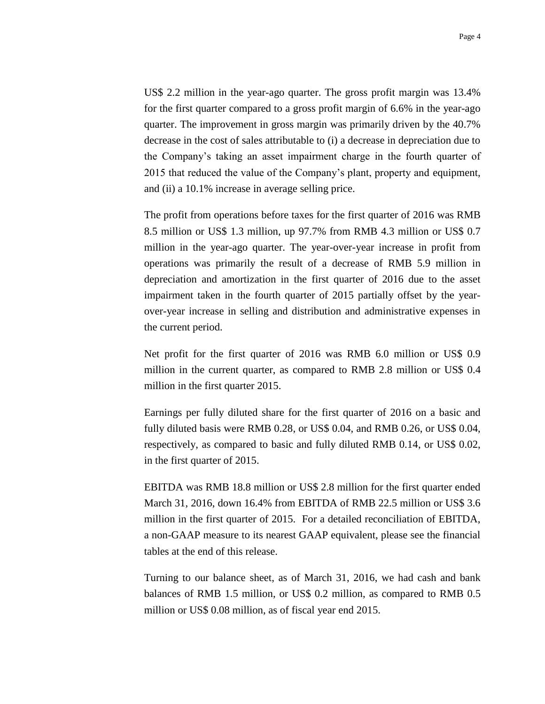US\$ 2.2 million in the year-ago quarter. The gross profit margin was 13.4% for the first quarter compared to a gross profit margin of 6.6% in the year-ago quarter. The improvement in gross margin was primarily driven by the 40.7% decrease in the cost of sales attributable to (i) a decrease in depreciation due to the Company's taking an asset impairment charge in the fourth quarter of 2015 that reduced the value of the Company's plant, property and equipment, and (ii) a 10.1% increase in average selling price.

The profit from operations before taxes for the first quarter of 2016 was RMB 8.5 million or US\$ 1.3 million, up 97.7% from RMB 4.3 million or US\$ 0.7 million in the year-ago quarter. The year-over-year increase in profit from operations was primarily the result of a decrease of RMB 5.9 million in depreciation and amortization in the first quarter of 2016 due to the asset impairment taken in the fourth quarter of 2015 partially offset by the yearover-year increase in selling and distribution and administrative expenses in the current period.

Net profit for the first quarter of 2016 was RMB 6.0 million or US\$ 0.9 million in the current quarter, as compared to RMB 2.8 million or US\$ 0.4 million in the first quarter 2015.

Earnings per fully diluted share for the first quarter of 2016 on a basic and fully diluted basis were RMB 0.28, or US\$ 0.04, and RMB 0.26, or US\$ 0.04, respectively, as compared to basic and fully diluted RMB 0.14, or US\$ 0.02, in the first quarter of 2015.

EBITDA was RMB 18.8 million or US\$ 2.8 million for the first quarter ended March 31, 2016, down 16.4% from EBITDA of RMB 22.5 million or US\$ 3.6 million in the first quarter of 2015. For a detailed reconciliation of EBITDA, a non-GAAP measure to its nearest GAAP equivalent, please see the financial tables at the end of this release.

Turning to our balance sheet, as of March 31, 2016, we had cash and bank balances of RMB 1.5 million, or US\$ 0.2 million, as compared to RMB 0.5 million or US\$ 0.08 million, as of fiscal year end 2015.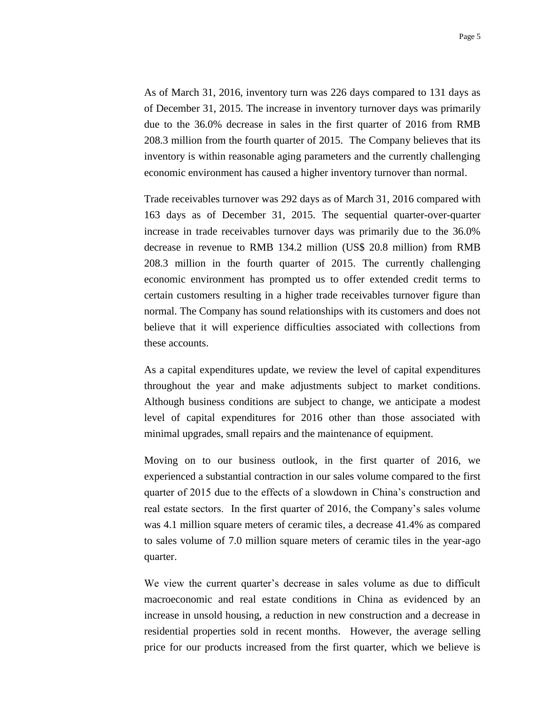As of March 31, 2016, inventory turn was 226 days compared to 131 days as of December 31, 2015. The increase in inventory turnover days was primarily due to the 36.0% decrease in sales in the first quarter of 2016 from RMB 208.3 million from the fourth quarter of 2015. The Company believes that its inventory is within reasonable aging parameters and the currently challenging economic environment has caused a higher inventory turnover than normal.

Trade receivables turnover was 292 days as of March 31, 2016 compared with 163 days as of December 31, 2015. The sequential quarter-over-quarter increase in trade receivables turnover days was primarily due to the 36.0% decrease in revenue to RMB 134.2 million (US\$ 20.8 million) from RMB 208.3 million in the fourth quarter of 2015. The currently challenging economic environment has prompted us to offer extended credit terms to certain customers resulting in a higher trade receivables turnover figure than normal. The Company has sound relationships with its customers and does not believe that it will experience difficulties associated with collections from these accounts.

As a capital expenditures update, we review the level of capital expenditures throughout the year and make adjustments subject to market conditions. Although business conditions are subject to change, we anticipate a modest level of capital expenditures for 2016 other than those associated with minimal upgrades, small repairs and the maintenance of equipment.

Moving on to our business outlook, in the first quarter of 2016, we experienced a substantial contraction in our sales volume compared to the first quarter of 2015 due to the effects of a slowdown in China's construction and real estate sectors. In the first quarter of 2016, the Company's sales volume was 4.1 million square meters of ceramic tiles, a decrease 41.4% as compared to sales volume of 7.0 million square meters of ceramic tiles in the year-ago quarter.

We view the current quarter's decrease in sales volume as due to difficult macroeconomic and real estate conditions in China as evidenced by an increase in unsold housing, a reduction in new construction and a decrease in residential properties sold in recent months. However, the average selling price for our products increased from the first quarter, which we believe is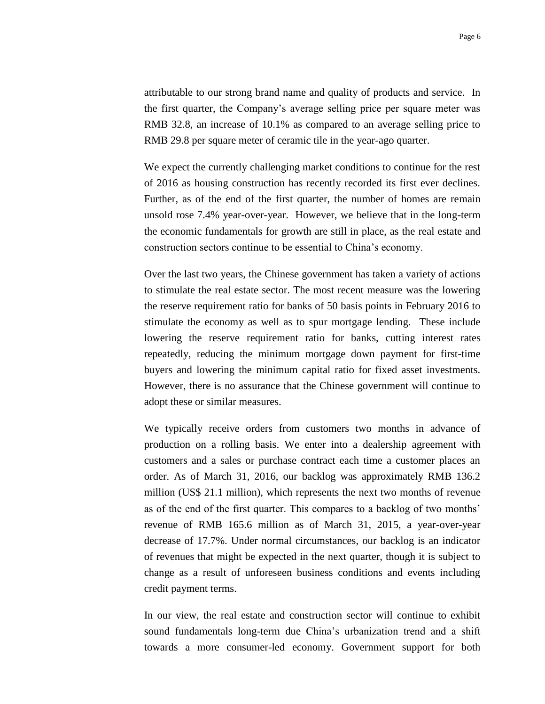attributable to our strong brand name and quality of products and service. In the first quarter, the Company's average selling price per square meter was RMB 32.8, an increase of 10.1% as compared to an average selling price to RMB 29.8 per square meter of ceramic tile in the year-ago quarter.

We expect the currently challenging market conditions to continue for the rest of 2016 as housing construction has recently recorded its first ever declines. Further, as of the end of the first quarter, the number of homes are remain unsold rose 7.4% year-over-year. However, we believe that in the long-term the economic fundamentals for growth are still in place, as the real estate and construction sectors continue to be essential to China's economy.

Over the last two years, the Chinese government has taken a variety of actions to stimulate the real estate sector. The most recent measure was the lowering the reserve requirement ratio for banks of 50 basis points in February 2016 to stimulate the economy as well as to spur mortgage lending. These include lowering the reserve requirement ratio for banks, cutting interest rates repeatedly, reducing the minimum mortgage down payment for first-time buyers and lowering the minimum capital ratio for fixed asset investments. However, there is no assurance that the Chinese government will continue to adopt these or similar measures.

We typically receive orders from customers two months in advance of production on a rolling basis. We enter into a dealership agreement with customers and a sales or purchase contract each time a customer places an order. As of March 31, 2016, our backlog was approximately RMB 136.2 million (US\$ 21.1 million), which represents the next two months of revenue as of the end of the first quarter. This compares to a backlog of two months' revenue of RMB 165.6 million as of March 31, 2015, a year-over-year decrease of 17.7%. Under normal circumstances, our backlog is an indicator of revenues that might be expected in the next quarter, though it is subject to change as a result of unforeseen business conditions and events including credit payment terms.

In our view, the real estate and construction sector will continue to exhibit sound fundamentals long-term due China's urbanization trend and a shift towards a more consumer-led economy. Government support for both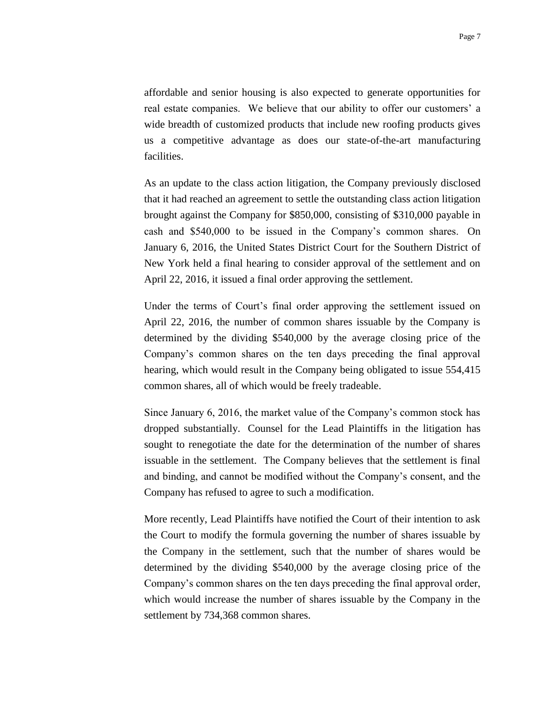affordable and senior housing is also expected to generate opportunities for real estate companies. We believe that our ability to offer our customers' a wide breadth of customized products that include new roofing products gives us a competitive advantage as does our state-of-the-art manufacturing facilities.

As an update to the class action litigation, the Company previously disclosed that it had reached an agreement to settle the outstanding class action litigation brought against the Company for \$850,000, consisting of \$310,000 payable in cash and \$540,000 to be issued in the Company's common shares. On January 6, 2016, the United States District Court for the Southern District of New York held a final hearing to consider approval of the settlement and on April 22, 2016, it issued a final order approving the settlement.

Under the terms of Court's final order approving the settlement issued on April 22, 2016, the number of common shares issuable by the Company is determined by the dividing \$540,000 by the average closing price of the Company's common shares on the ten days preceding the final approval hearing, which would result in the Company being obligated to issue 554,415 common shares, all of which would be freely tradeable.

Since January 6, 2016, the market value of the Company's common stock has dropped substantially. Counsel for the Lead Plaintiffs in the litigation has sought to renegotiate the date for the determination of the number of shares issuable in the settlement. The Company believes that the settlement is final and binding, and cannot be modified without the Company's consent, and the Company has refused to agree to such a modification.

More recently, Lead Plaintiffs have notified the Court of their intention to ask the Court to modify the formula governing the number of shares issuable by the Company in the settlement, such that the number of shares would be determined by the dividing \$540,000 by the average closing price of the Company's common shares on the ten days preceding the final approval order, which would increase the number of shares issuable by the Company in the settlement by 734,368 common shares.